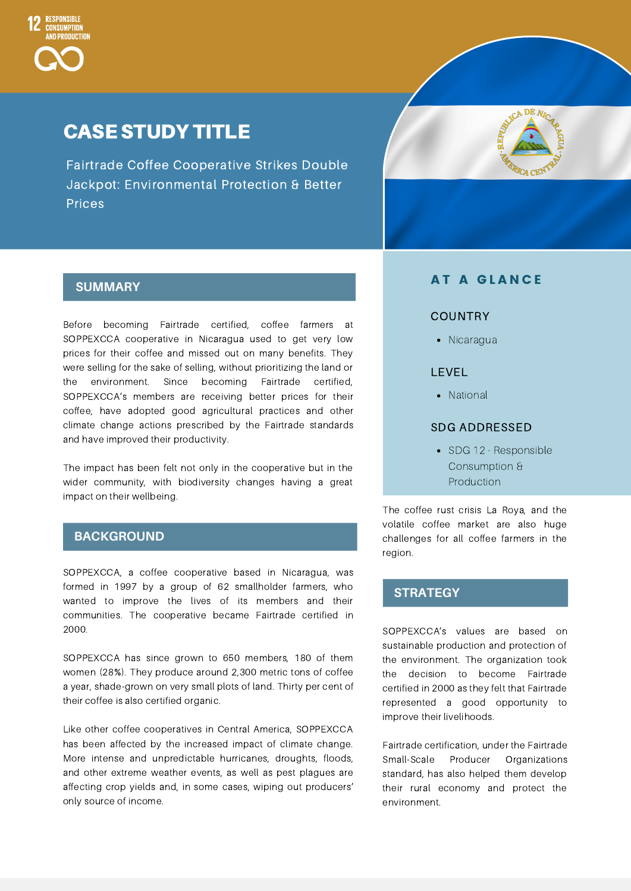

# CASE STUDY TITLE

Fairtrade Coffee Cooperative Strikes Double Jackpot: Environmental Protection & Better Prices



# **SUMMARY**

Before becoming Fairtrade certified, coffee farmers at SOPPEXCCA cooperative in Nicaragua used to get very low prices for their coffee and missed out on many benefits. They were selling for the sake of selling, without prioritizing the land or the environment. Since becoming Fairtrade certified, SOPPEXCCA's members are receiving better prices for their coffee, have adopted good agricultural practices and other climate change actions prescribed by the Fairtrade standards and have improved their productivity.

The impact has been felt not only in the cooperative but in the wider community, with biodiversity changes having a great impact on their wellbeing.

## **BACKGROUND**

SOPPEXCCA, a coffee cooperative based in Nicaragua, was formed in 1997 by a group of 62 smallholder farmers, who wanted to improve the lives of its members and their communities. The cooperative became Fairtrade certified in 2000.

SOPPEXCCA has since grown to 650 members, 180 of them women (28%). They produce around 2,300 metric tons of coffee a year, shade-grown on very small plots of land. Thirty per cent of their coffee is also certified organic.

Like other coffee cooperatives in Central America, SOPPEXCCA has been affected by the increased impact of climate change. More intense and unpredictable hurricanes, droughts, floods, and other extreme weather events, as well as pest plagues are affecting crop yields and, in some cases, wiping out producers' only source of income.

# **AT A GLANCE**

### **COUNTRY**

• Nicaragua

## LEVEL

• National

### SDG ADDRESSED

• SDG 12 - Responsible Consumption & **Production** 

The coffee rust crisis La Roya, and the volatile coffee market are also huge challenges for all coffee farmers in the region.

# **STRATEGY**

SOPPEXCCA's values are based on sustainable production and protection of the environment. The organization took the decision to become Fairtrade certified in 2000 as they felt that Fairtrade represented a good opportunity to improve their livelihoods.

Fairtrade certification, under the Fairtrade Small-Scale Producer Organizations standard, has also helped them develop their rural economy and protect the environment.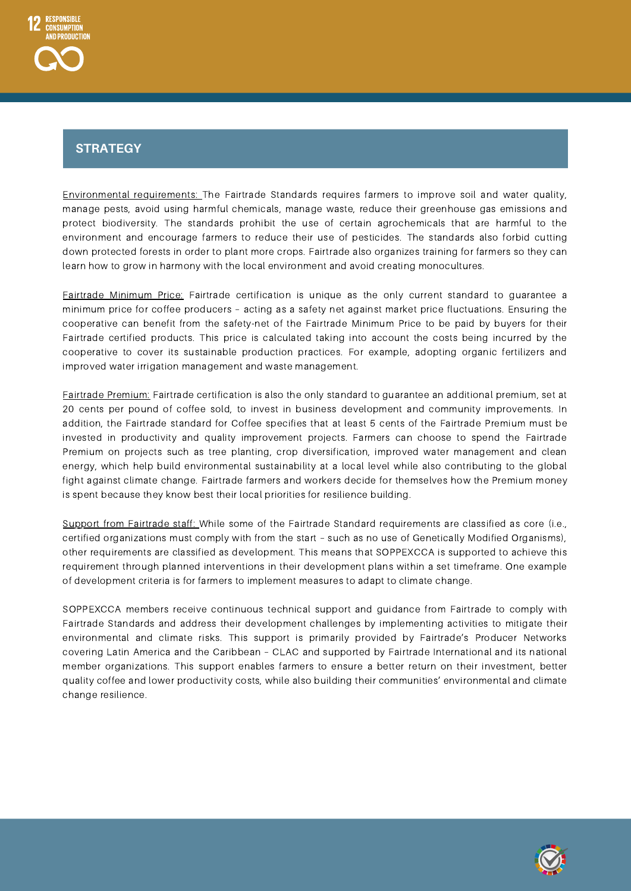# Strategy **STRATEGY**

Environmental requirements: The Fairtrade Standards requires farmers to improve soil and water quality, manage pests, avoid using harmful chemicals, manage waste, reduce their greenhouse gas emissions and protect biodiversity. The standards prohibit the use of certain agrochemicals that are harmful to the environment and encourage farmers to reduce their use of pesticides. The standards also forbid cutting down protected forests in order to plant more crops. Fairtrade also organizes training for farmers so they can learn how to grow in harmony with the local environment and avoid creating monocultures.

Fairtrade Minimum Price: Fairtrade certification is unique as the only current standard to guarantee a minimum price for coffee producers – acting as a safety net against market price fluctuations. Ensuring the cooperative can benefit from the safety-net of the Fairtrade Minimum Price to be paid by buyers for their Fairtrade certified products. This price is calculated taking into account the costs being incurred by the cooperative to cover its sustainable production practices. For example, adopting organic fertilizers and improved water irrigation management and waste management.

Fairtrade Premium: Fairtrade certification is also the only standard to guarantee an additional premium, set at 20 cents per pound of coffee sold, to invest in business development and community improvements. In addition, the Fairtrade standard for Coffee specifies that at least 5 cents of the Fairtrade Premium must be invested in productivity and quality improvement projects. Farmers can choose to spend the Fairtrade Premium on projects such as tree planting, crop diversification, improved water management and clean energy, which help build environmental sustainability at a local level while also contributing to the global fight against climate change. Fairtrade farmers and workers decide for themselves how the Premium money is spent because they know best their local priorities for resilience building.

Support from Fairtrade staff: While some of the Fairtrade Standard requirements are classified as core (i.e., certified organizations must comply with from the start – such as no use of Genetically Modified Organisms), other requirements are classified as development. This means that SOPPEXCCA is supported to achieve this requirement through planned interventions in their development plans within a set timeframe. One example of development criteria is for farmers to implement measures to adapt to climate change.

SOPPEXCCA members receive continuous technical support and guidance from Fairtrade to comply with Fairtrade Standards and address their development challenges by implementing activities to mitigate their environmental and climate risks. This support is primarily provided by Fairtrade's Producer Networks covering Latin America and the Caribbean – CLAC and supported by Fairtrade International and its national member organizations. This support enables farmers to ensure a better return on their investment, better quality coffee and lower productivity costs, while also building their communities' environmental and climate change resilience.

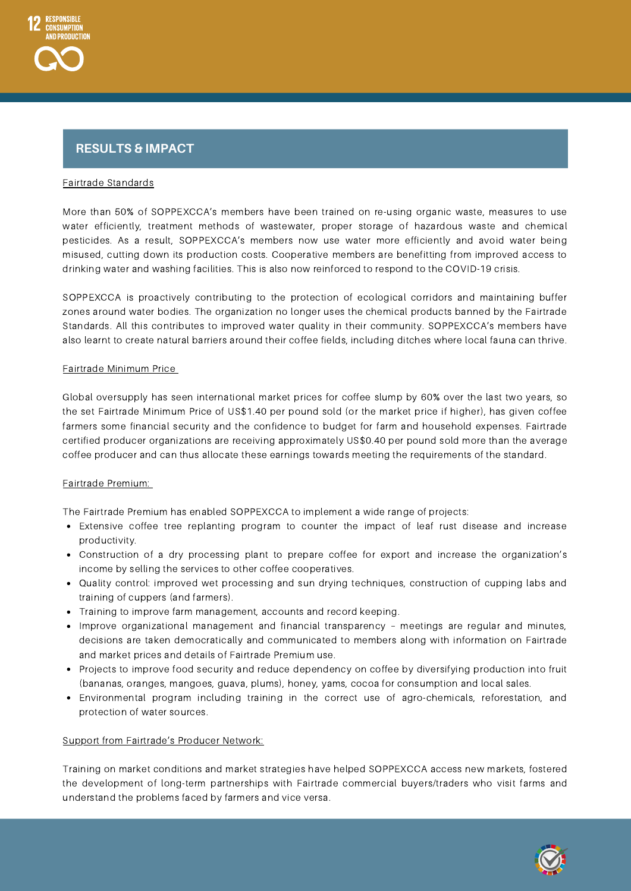# Strategy **RESULTS & IMPACT**

### Fairtrade Standards

More than 50% of SOPPEXCCA's members have been trained on re-using organic waste, measures to use water efficiently, treatment methods of wastewater, proper storage of hazardous waste and chemical pesticides. As a result, SOPPEXCCA's members now use water more efficiently and avoid water being misused, cutting down its production costs. Cooperative members are benefitting from improved access to drinking water and washing facilities. This is also now reinforced to respond to the COVID-19 crisis.

SOPPEXCCA is proactively contributing to the protection of ecological corridors and maintaining buffer zones around water bodies. The organization no longer uses the chemical products banned by the Fairtrade Standards. All this contributes to improved water quality in their community. SOPPEXCCA's members have also learnt to create natural barriers around their coffee fields, including ditches where local fauna can thrive.

### Fairtrade Minimum Price

Global oversupply has seen international market prices for coffee slump by 60% over the last two years, so the set Fairtrade Minimum Price of US\$1.40 per pound sold (or the market price if higher), has given coffee farmers some financial security and the confidence to budget for farm and household expenses. Fairtrade certified producer organizations are receiving approximately US\$0.40 per pound sold more than the average coffee producer and can thus allocate these earnings towards meeting the requirements of the standard.

## Fairtrade Premium:

The Fairtrade Premium has enabled SOPPEXCCA to implement a wide range of projects:

- Extensive coffee tree replanting program to counter the impact of leaf rust disease and increase productivity.
- Construction of a dry processing plant to prepare coffee for export and increase the organization's income by selling the services to other coffee cooperatives.
- Quality control: improved wet processing and sun drying techniques, construction of cupping labs and training of cuppers (and farmers).
- Training to improve farm management, accounts and record keeping.
- Improve organizational management and financial transparency meetings are regular and minutes, decisions are taken democratically and communicated to members along with information on Fairtrade and market prices and details of Fairtrade Premium use.
- Projects to improve food security and reduce dependency on coffee by diversifying production into fruit (bananas, oranges, mangoes, guava, plums), honey, yams, cocoa for consumption and local sales.
- Environmental program including training in the correct use of agro-chemicals, reforestation, and protection of water sources.

#### Support from Fairtrade's Producer Network:

Training on market conditions and market strategies have helped SOPPEXCCA access new markets, fostered the development of long-term partnerships with Fairtrade commercial buyers/traders who visit farms and understand the problems faced by farmers and vice versa.